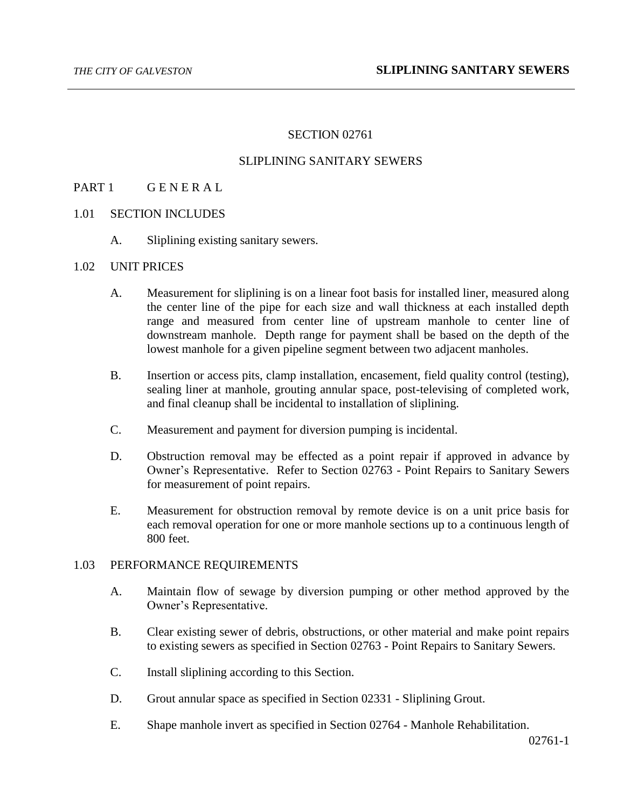# SECTION 02761

# SLIPLINING SANITARY SEWERS

## PART 1 GENERAL

### 1.01 SECTION INCLUDES

A. Sliplining existing sanitary sewers.

#### 1.02 UNIT PRICES

- A. Measurement for sliplining is on a linear foot basis for installed liner, measured along the center line of the pipe for each size and wall thickness at each installed depth range and measured from center line of upstream manhole to center line of downstream manhole. Depth range for payment shall be based on the depth of the lowest manhole for a given pipeline segment between two adjacent manholes.
- B. Insertion or access pits, clamp installation, encasement, field quality control (testing), sealing liner at manhole, grouting annular space, post-televising of completed work, and final cleanup shall be incidental to installation of sliplining.
- C. Measurement and payment for diversion pumping is incidental.
- D. Obstruction removal may be effected as a point repair if approved in advance by Owner's Representative. Refer to Section 02763 - Point Repairs to Sanitary Sewers for measurement of point repairs.
- E. Measurement for obstruction removal by remote device is on a unit price basis for each removal operation for one or more manhole sections up to a continuous length of 800 feet.

#### 1.03 PERFORMANCE REQUIREMENTS

- A. Maintain flow of sewage by diversion pumping or other method approved by the Owner's Representative.
- B. Clear existing sewer of debris, obstructions, or other material and make point repairs to existing sewers as specified in Section 02763 - Point Repairs to Sanitary Sewers.
- C. Install sliplining according to this Section.
- D. Grout annular space as specified in Section 02331 Sliplining Grout.
- E. Shape manhole invert as specified in Section 02764 Manhole Rehabilitation.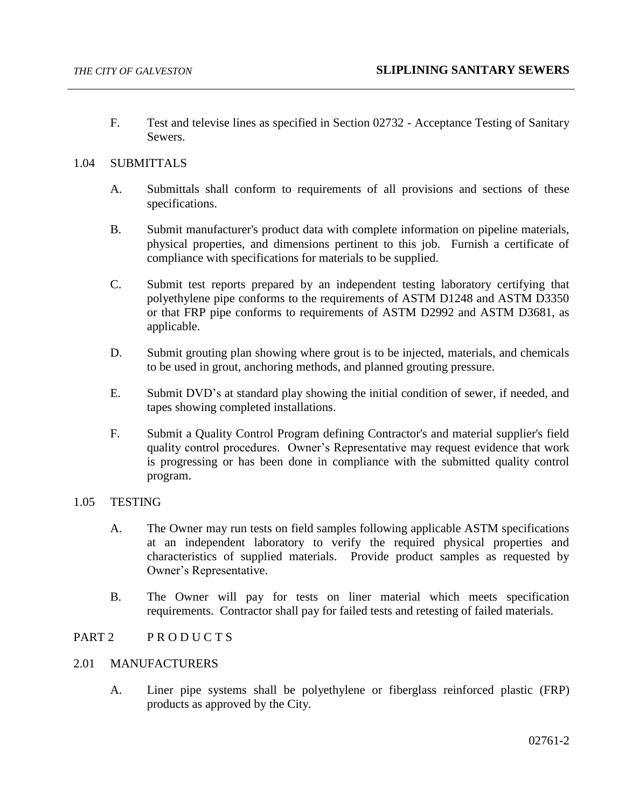F. Test and televise lines as specified in Section 02732 - Acceptance Testing of Sanitary Sewers.

## 1.04 SUBMITTALS

- A. Submittals shall conform to requirements of all provisions and sections of these specifications.
- B. Submit manufacturer's product data with complete information on pipeline materials, physical properties, and dimensions pertinent to this job. Furnish a certificate of compliance with specifications for materials to be supplied.
- C. Submit test reports prepared by an independent testing laboratory certifying that polyethylene pipe conforms to the requirements of ASTM D1248 and ASTM D3350 or that FRP pipe conforms to requirements of ASTM D2992 and ASTM D3681, as applicable.
- D. Submit grouting plan showing where grout is to be injected, materials, and chemicals to be used in grout, anchoring methods, and planned grouting pressure.
- E. Submit DVD's at standard play showing the initial condition of sewer, if needed, and tapes showing completed installations.
- F. Submit a Quality Control Program defining Contractor's and material supplier's field quality control procedures. Owner's Representative may request evidence that work is progressing or has been done in compliance with the submitted quality control program.

### 1.05 TESTING

- A. The Owner may run tests on field samples following applicable ASTM specifications at an independent laboratory to verify the required physical properties and characteristics of supplied materials. Provide product samples as requested by Owner's Representative.
- B. The Owner will pay for tests on liner material which meets specification requirements. Contractor shall pay for failed tests and retesting of failed materials.

### PART 2 PRODUCTS

# 2.01 MANUFACTURERS

A. Liner pipe systems shall be polyethylene or fiberglass reinforced plastic (FRP) products as approved by the City.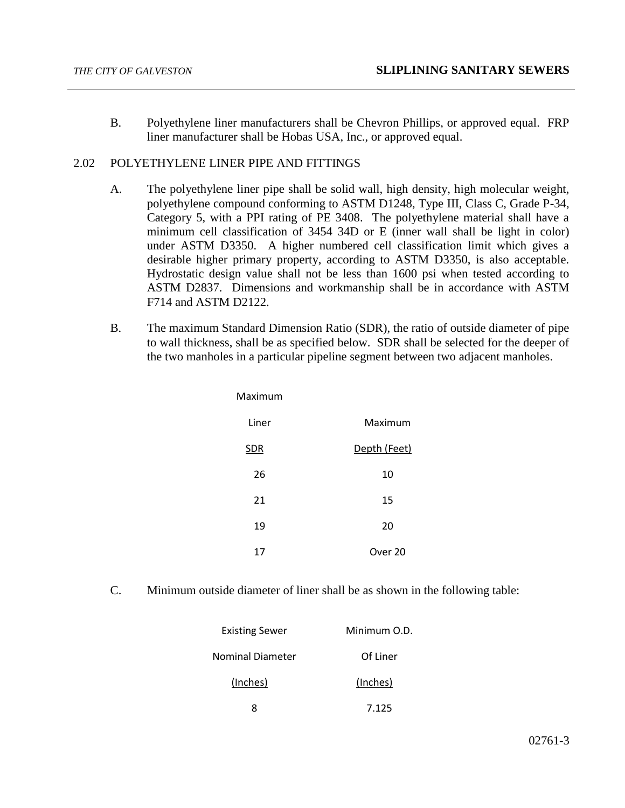B. Polyethylene liner manufacturers shall be Chevron Phillips, or approved equal. FRP liner manufacturer shall be Hobas USA, Inc., or approved equal.

# 2.02 POLYETHYLENE LINER PIPE AND FITTINGS

- A. The polyethylene liner pipe shall be solid wall, high density, high molecular weight, polyethylene compound conforming to ASTM D1248, Type III, Class C, Grade P-34, Category 5, with a PPI rating of PE 3408. The polyethylene material shall have a minimum cell classification of 3454 34D or E (inner wall shall be light in color) under ASTM D3350. A higher numbered cell classification limit which gives a desirable higher primary property, according to ASTM D3350, is also acceptable. Hydrostatic design value shall not be less than 1600 psi when tested according to ASTM D2837. Dimensions and workmanship shall be in accordance with ASTM F714 and ASTM D2122.
- B. The maximum Standard Dimension Ratio (SDR), the ratio of outside diameter of pipe to wall thickness, shall be as specified below. SDR shall be selected for the deeper of the two manholes in a particular pipeline segment between two adjacent manholes.

| Maximum    |              |
|------------|--------------|
| Liner      | Maximum      |
| <b>SDR</b> | Depth (Feet) |
| 26         | 10           |
| 21         | 15           |
| 19         | 20           |
| 17         | Over 20      |

C. Minimum outside diameter of liner shall be as shown in the following table:

| <b>Existing Sewer</b>   | Minimum O.D. |
|-------------------------|--------------|
| <b>Nominal Diameter</b> | Of Liner     |
| (Inches)                | (Inches)     |
|                         | 7.125        |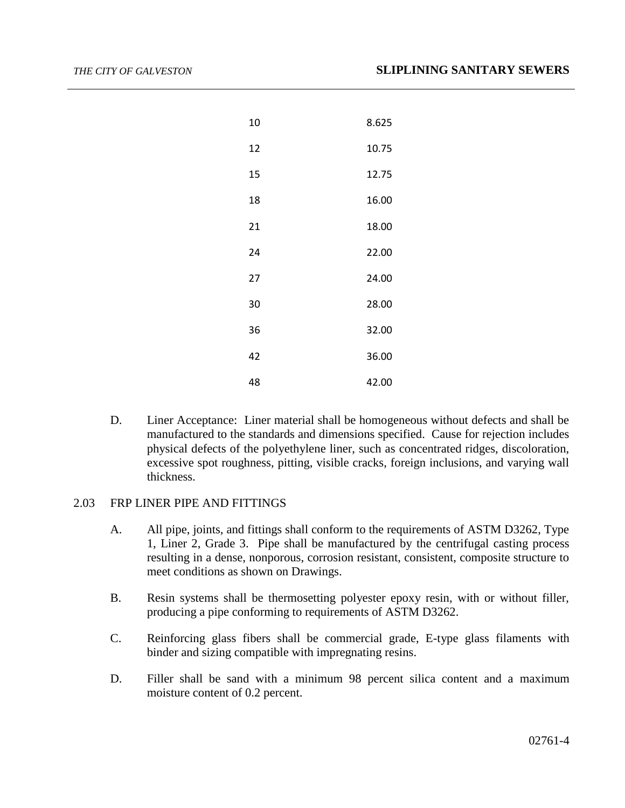| 10 | 8.625 |
|----|-------|
| 12 | 10.75 |
| 15 | 12.75 |
| 18 | 16.00 |
| 21 | 18.00 |
| 24 | 22.00 |
| 27 | 24.00 |
| 30 | 28.00 |
| 36 | 32.00 |
| 42 | 36.00 |
| 48 | 42.00 |

D. Liner Acceptance: Liner material shall be homogeneous without defects and shall be manufactured to the standards and dimensions specified. Cause for rejection includes physical defects of the polyethylene liner, such as concentrated ridges, discoloration, excessive spot roughness, pitting, visible cracks, foreign inclusions, and varying wall thickness.

## 2.03 FRP LINER PIPE AND FITTINGS

- A. All pipe, joints, and fittings shall conform to the requirements of ASTM D3262, Type 1, Liner 2, Grade 3. Pipe shall be manufactured by the centrifugal casting process resulting in a dense, nonporous, corrosion resistant, consistent, composite structure to meet conditions as shown on Drawings.
- B. Resin systems shall be thermosetting polyester epoxy resin, with or without filler, producing a pipe conforming to requirements of ASTM D3262.
- C. Reinforcing glass fibers shall be commercial grade, E-type glass filaments with binder and sizing compatible with impregnating resins.
- D. Filler shall be sand with a minimum 98 percent silica content and a maximum moisture content of 0.2 percent.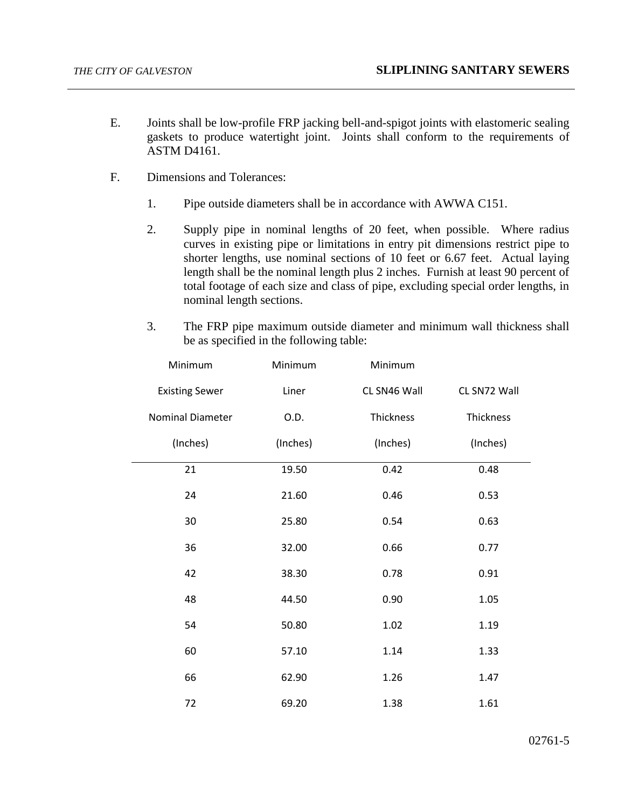- E. Joints shall be low-profile FRP jacking bell-and-spigot joints with elastomeric sealing gaskets to produce watertight joint. Joints shall conform to the requirements of ASTM D4161.
- F. Dimensions and Tolerances:
	- 1. Pipe outside diameters shall be in accordance with AWWA C151.
	- 2. Supply pipe in nominal lengths of 20 feet, when possible. Where radius curves in existing pipe or limitations in entry pit dimensions restrict pipe to shorter lengths, use nominal sections of 10 feet or 6.67 feet. Actual laying length shall be the nominal length plus 2 inches. Furnish at least 90 percent of total footage of each size and class of pipe, excluding special order lengths, in nominal length sections.
	- 3. The FRP pipe maximum outside diameter and minimum wall thickness shall be as specified in the following table:

| Minimum                 | Minimum  | Minimum      |              |
|-------------------------|----------|--------------|--------------|
| <b>Existing Sewer</b>   | Liner    | CL SN46 Wall | CL SN72 Wall |
| <b>Nominal Diameter</b> | O.D.     | Thickness    | Thickness    |
| (Inches)                | (Inches) | (Inches)     | (Inches)     |
| 21                      | 19.50    | 0.42         | 0.48         |
| 24                      | 21.60    | 0.46         | 0.53         |
| 30                      | 25.80    | 0.54         | 0.63         |
| 36                      | 32.00    | 0.66         | 0.77         |
| 42                      | 38.30    | 0.78         | 0.91         |
| 48                      | 44.50    | 0.90         | 1.05         |
| 54                      | 50.80    | 1.02         | 1.19         |
| 60                      | 57.10    | 1.14         | 1.33         |
| 66                      | 62.90    | 1.26         | 1.47         |
| 72                      | 69.20    | 1.38         | 1.61         |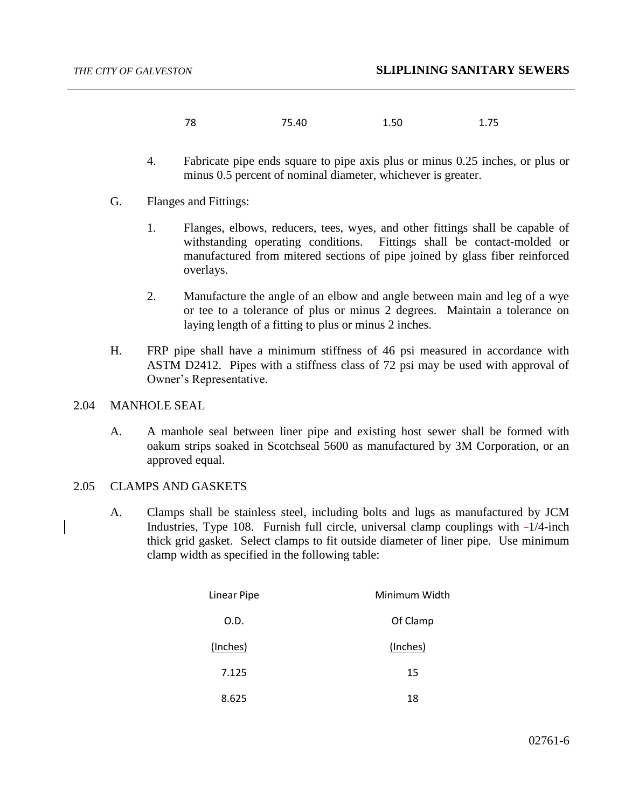- 78 75.40 1.50 1.75
- 4. Fabricate pipe ends square to pipe axis plus or minus 0.25 inches, or plus or minus 0.5 percent of nominal diameter, whichever is greater.
- G. Flanges and Fittings:
	- 1. Flanges, elbows, reducers, tees, wyes, and other fittings shall be capable of withstanding operating conditions. Fittings shall be contact-molded or manufactured from mitered sections of pipe joined by glass fiber reinforced overlays.
	- 2. Manufacture the angle of an elbow and angle between main and leg of a wye or tee to a tolerance of plus or minus 2 degrees. Maintain a tolerance on laying length of a fitting to plus or minus 2 inches.
- H. FRP pipe shall have a minimum stiffness of 46 psi measured in accordance with ASTM D2412. Pipes with a stiffness class of 72 psi may be used with approval of Owner's Representative.

## 2.04 MANHOLE SEAL

A. A manhole seal between liner pipe and existing host sewer shall be formed with oakum strips soaked in Scotchseal 5600 as manufactured by 3M Corporation, or an approved equal.

### 2.05 CLAMPS AND GASKETS

A. Clamps shall be stainless steel, including bolts and lugs as manufactured by JCM Industries, Type 108. Furnish full circle, universal clamp couplings with  $-1/4$ -inch thick grid gasket. Select clamps to fit outside diameter of liner pipe. Use minimum clamp width as specified in the following table:

| <b>Linear Pipe</b> | Minimum Width |
|--------------------|---------------|
| O.D.               | Of Clamp      |
| (Inches)           | (Inches)      |
| 7.125              | 15            |
| 8.625              | 18            |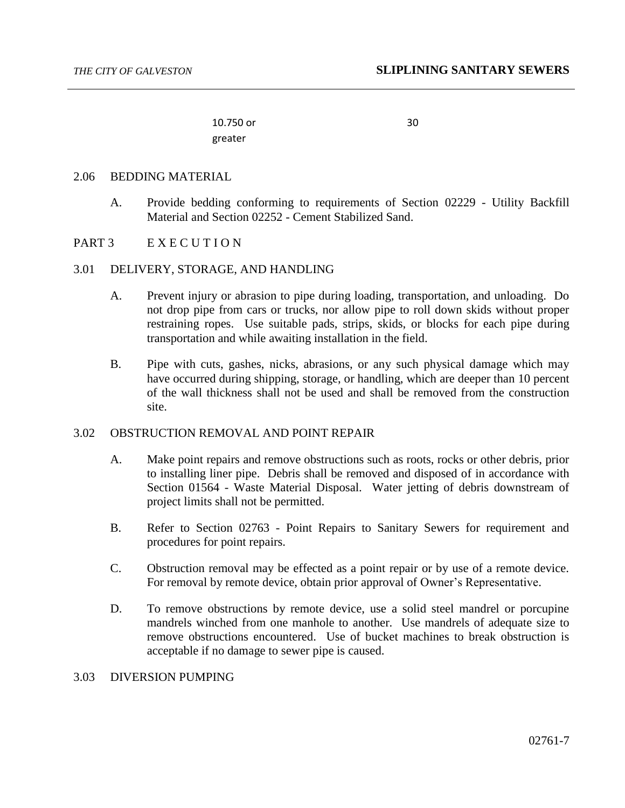10.750 or greater

30

#### 2.06 BEDDING MATERIAL

A. Provide bedding conforming to requirements of Section 02229 - Utility Backfill Material and Section 02252 - Cement Stabilized Sand.

### PART 3 E X E C U T I O N

#### 3.01 DELIVERY, STORAGE, AND HANDLING

- A. Prevent injury or abrasion to pipe during loading, transportation, and unloading. Do not drop pipe from cars or trucks, nor allow pipe to roll down skids without proper restraining ropes. Use suitable pads, strips, skids, or blocks for each pipe during transportation and while awaiting installation in the field.
- B. Pipe with cuts, gashes, nicks, abrasions, or any such physical damage which may have occurred during shipping, storage, or handling, which are deeper than 10 percent of the wall thickness shall not be used and shall be removed from the construction site.

# 3.02 OBSTRUCTION REMOVAL AND POINT REPAIR

- A. Make point repairs and remove obstructions such as roots, rocks or other debris, prior to installing liner pipe. Debris shall be removed and disposed of in accordance with Section 01564 - Waste Material Disposal. Water jetting of debris downstream of project limits shall not be permitted.
- B. Refer to Section 02763 Point Repairs to Sanitary Sewers for requirement and procedures for point repairs.
- C. Obstruction removal may be effected as a point repair or by use of a remote device. For removal by remote device, obtain prior approval of Owner's Representative.
- D. To remove obstructions by remote device, use a solid steel mandrel or porcupine mandrels winched from one manhole to another. Use mandrels of adequate size to remove obstructions encountered. Use of bucket machines to break obstruction is acceptable if no damage to sewer pipe is caused.

### 3.03 DIVERSION PUMPING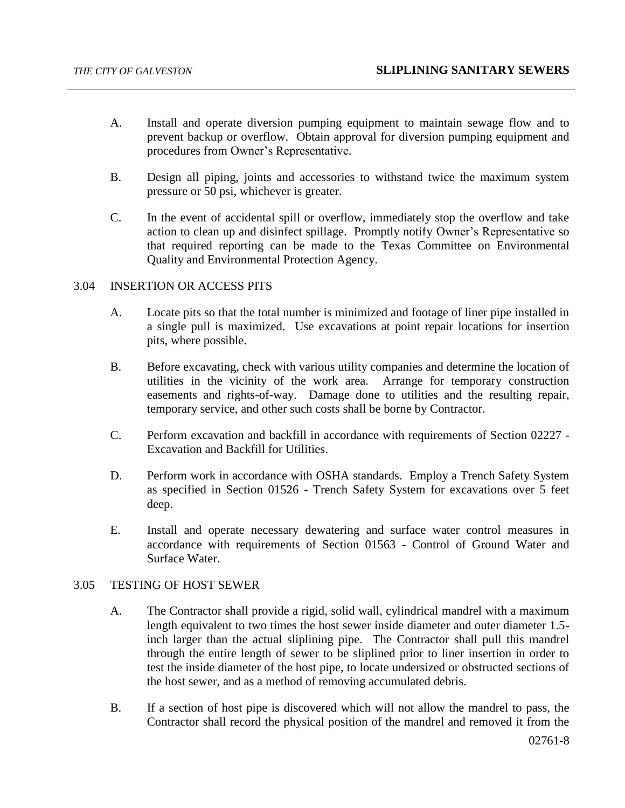- A. Install and operate diversion pumping equipment to maintain sewage flow and to prevent backup or overflow. Obtain approval for diversion pumping equipment and procedures from Owner's Representative.
- B. Design all piping, joints and accessories to withstand twice the maximum system pressure or 50 psi, whichever is greater.
- C. In the event of accidental spill or overflow, immediately stop the overflow and take action to clean up and disinfect spillage. Promptly notify Owner's Representative so that required reporting can be made to the Texas Committee on Environmental Quality and Environmental Protection Agency.

# 3.04 INSERTION OR ACCESS PITS

- A. Locate pits so that the total number is minimized and footage of liner pipe installed in a single pull is maximized. Use excavations at point repair locations for insertion pits, where possible.
- B. Before excavating, check with various utility companies and determine the location of utilities in the vicinity of the work area. Arrange for temporary construction easements and rights-of-way. Damage done to utilities and the resulting repair, temporary service, and other such costs shall be borne by Contractor.
- C. Perform excavation and backfill in accordance with requirements of Section 02227 Excavation and Backfill for Utilities.
- D. Perform work in accordance with OSHA standards. Employ a Trench Safety System as specified in Section 01526 - Trench Safety System for excavations over 5 feet deep.
- E. Install and operate necessary dewatering and surface water control measures in accordance with requirements of Section 01563 - Control of Ground Water and Surface Water.

# 3.05 TESTING OF HOST SEWER

- A. The Contractor shall provide a rigid, solid wall, cylindrical mandrel with a maximum length equivalent to two times the host sewer inside diameter and outer diameter 1.5 inch larger than the actual sliplining pipe. The Contractor shall pull this mandrel through the entire length of sewer to be sliplined prior to liner insertion in order to test the inside diameter of the host pipe, to locate undersized or obstructed sections of the host sewer, and as a method of removing accumulated debris.
- B. If a section of host pipe is discovered which will not allow the mandrel to pass, the Contractor shall record the physical position of the mandrel and removed it from the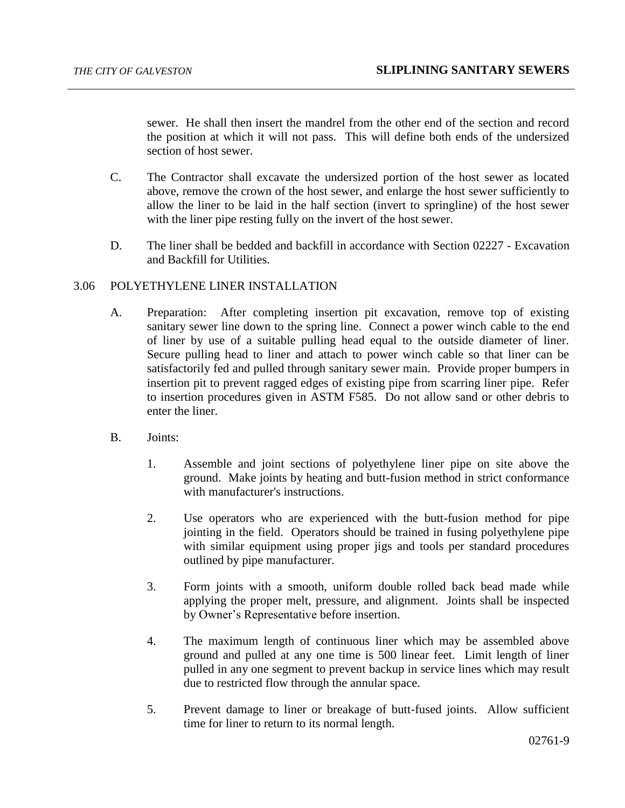sewer. He shall then insert the mandrel from the other end of the section and record the position at which it will not pass. This will define both ends of the undersized section of host sewer.

- C. The Contractor shall excavate the undersized portion of the host sewer as located above, remove the crown of the host sewer, and enlarge the host sewer sufficiently to allow the liner to be laid in the half section (invert to springline) of the host sewer with the liner pipe resting fully on the invert of the host sewer.
- D. The liner shall be bedded and backfill in accordance with Section 02227 Excavation and Backfill for Utilities.

## 3.06 POLYETHYLENE LINER INSTALLATION

- A. Preparation: After completing insertion pit excavation, remove top of existing sanitary sewer line down to the spring line. Connect a power winch cable to the end of liner by use of a suitable pulling head equal to the outside diameter of liner. Secure pulling head to liner and attach to power winch cable so that liner can be satisfactorily fed and pulled through sanitary sewer main. Provide proper bumpers in insertion pit to prevent ragged edges of existing pipe from scarring liner pipe. Refer to insertion procedures given in ASTM F585. Do not allow sand or other debris to enter the liner.
- B. Joints:
	- 1. Assemble and joint sections of polyethylene liner pipe on site above the ground. Make joints by heating and butt-fusion method in strict conformance with manufacturer's instructions.
	- 2. Use operators who are experienced with the butt-fusion method for pipe jointing in the field. Operators should be trained in fusing polyethylene pipe with similar equipment using proper jigs and tools per standard procedures outlined by pipe manufacturer.
	- 3. Form joints with a smooth, uniform double rolled back bead made while applying the proper melt, pressure, and alignment. Joints shall be inspected by Owner's Representative before insertion.
	- 4. The maximum length of continuous liner which may be assembled above ground and pulled at any one time is 500 linear feet. Limit length of liner pulled in any one segment to prevent backup in service lines which may result due to restricted flow through the annular space.
	- 5. Prevent damage to liner or breakage of butt-fused joints. Allow sufficient time for liner to return to its normal length.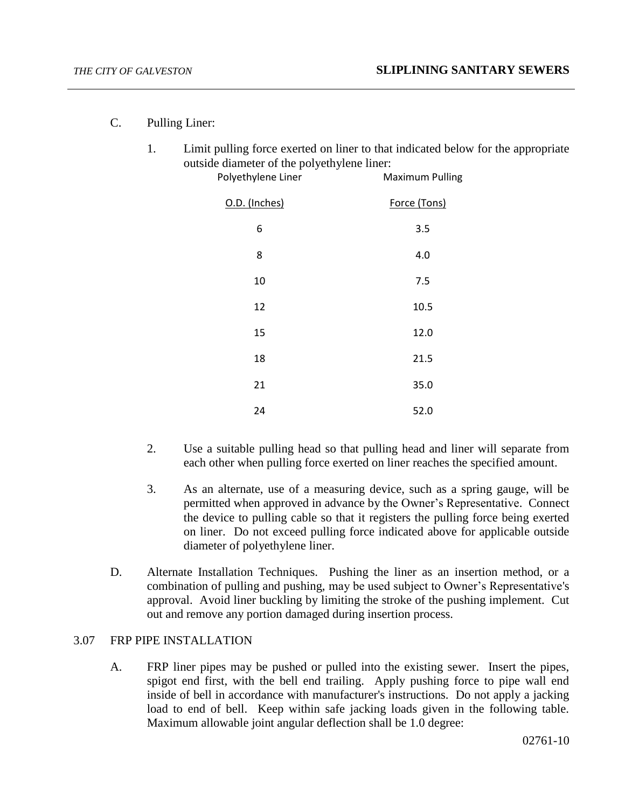- C. Pulling Liner:
	- 1. Limit pulling force exerted on liner to that indicated below for the appropriate outside diameter of the polyethylene liner:<br>Maximum

| ----------- -- ---- r -- <i>j</i> - <i>--</i><br>Polyethylene Liner | <b>Maximum Pulling</b> |
|---------------------------------------------------------------------|------------------------|
| O.D. (Inches)                                                       | Force (Tons)           |
| 6                                                                   | 3.5                    |
| 8                                                                   | 4.0                    |
| 10                                                                  | 7.5                    |
| 12                                                                  | 10.5                   |
| 15                                                                  | 12.0                   |
| 18                                                                  | 21.5                   |
| 21                                                                  | 35.0                   |
| 24                                                                  | 52.0                   |

- 2. Use a suitable pulling head so that pulling head and liner will separate from each other when pulling force exerted on liner reaches the specified amount.
- 3. As an alternate, use of a measuring device, such as a spring gauge, will be permitted when approved in advance by the Owner's Representative. Connect the device to pulling cable so that it registers the pulling force being exerted on liner. Do not exceed pulling force indicated above for applicable outside diameter of polyethylene liner.
- D. Alternate Installation Techniques. Pushing the liner as an insertion method, or a combination of pulling and pushing, may be used subject to Owner's Representative's approval. Avoid liner buckling by limiting the stroke of the pushing implement. Cut out and remove any portion damaged during insertion process.

# 3.07 FRP PIPE INSTALLATION

A. FRP liner pipes may be pushed or pulled into the existing sewer. Insert the pipes, spigot end first, with the bell end trailing. Apply pushing force to pipe wall end inside of bell in accordance with manufacturer's instructions. Do not apply a jacking load to end of bell. Keep within safe jacking loads given in the following table. Maximum allowable joint angular deflection shall be 1.0 degree: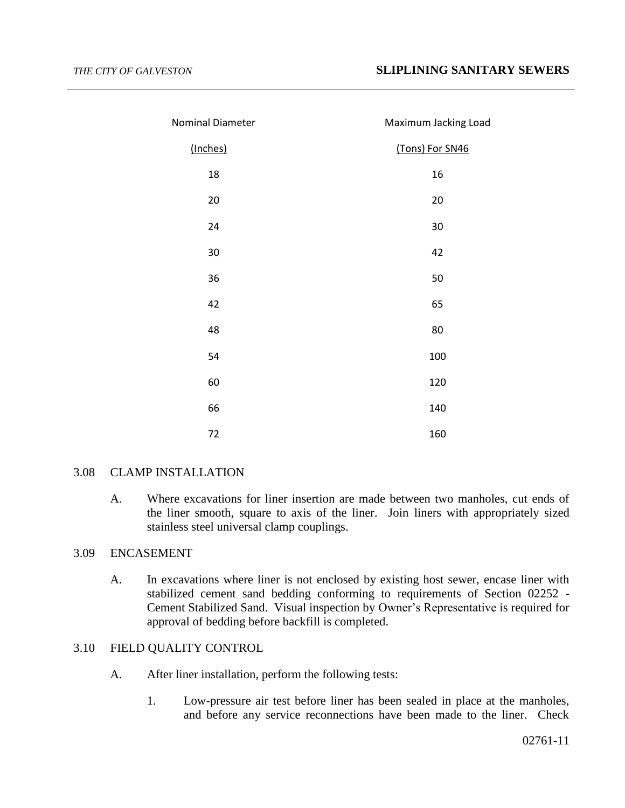| Nominal Diameter | Maximum Jacking Load |
|------------------|----------------------|
| (Inches)         | (Tons) For SN46      |
| 18               | 16                   |
| 20               | 20                   |
| 24               | 30                   |
| 30               | 42                   |
| 36               | 50                   |
| 42               | 65                   |
| 48               | 80                   |
| 54               | 100                  |
| 60               | 120                  |
| 66               | 140                  |
| 72               | 160                  |

### 3.08 CLAMP INSTALLATION

A. Where excavations for liner insertion are made between two manholes, cut ends of the liner smooth, square to axis of the liner. Join liners with appropriately sized stainless steel universal clamp couplings.

## 3.09 ENCASEMENT

A. In excavations where liner is not enclosed by existing host sewer, encase liner with stabilized cement sand bedding conforming to requirements of Section 02252 - Cement Stabilized Sand. Visual inspection by Owner's Representative is required for approval of bedding before backfill is completed.

# 3.10 FIELD QUALITY CONTROL

- A. After liner installation, perform the following tests:
	- 1. Low-pressure air test before liner has been sealed in place at the manholes, and before any service reconnections have been made to the liner. Check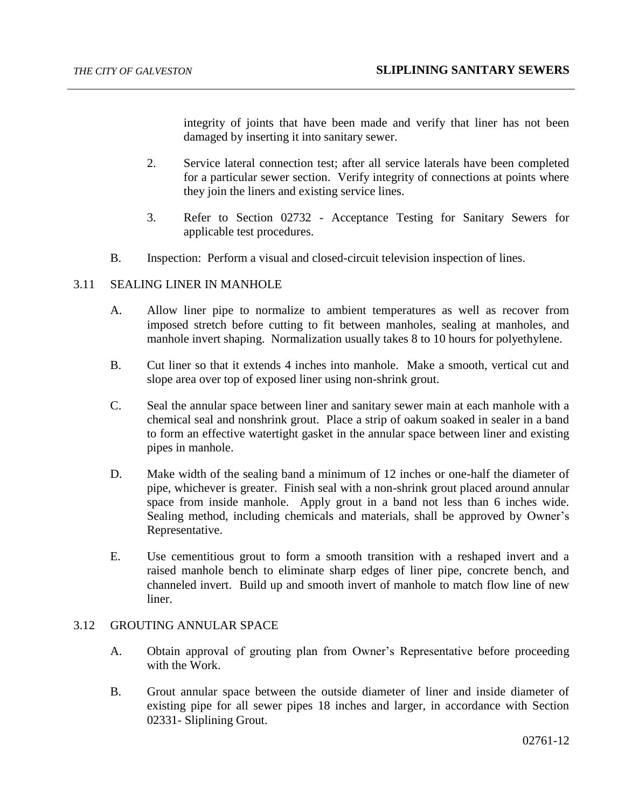integrity of joints that have been made and verify that liner has not been damaged by inserting it into sanitary sewer.

- 2. Service lateral connection test; after all service laterals have been completed for a particular sewer section. Verify integrity of connections at points where they join the liners and existing service lines.
- 3. Refer to Section 02732 Acceptance Testing for Sanitary Sewers for applicable test procedures.
- B. Inspection: Perform a visual and closed-circuit television inspection of lines.

### 3.11 SEALING LINER IN MANHOLE

- A. Allow liner pipe to normalize to ambient temperatures as well as recover from imposed stretch before cutting to fit between manholes, sealing at manholes, and manhole invert shaping. Normalization usually takes 8 to 10 hours for polyethylene.
- B. Cut liner so that it extends 4 inches into manhole. Make a smooth, vertical cut and slope area over top of exposed liner using non-shrink grout.
- C. Seal the annular space between liner and sanitary sewer main at each manhole with a chemical seal and nonshrink grout. Place a strip of oakum soaked in sealer in a band to form an effective watertight gasket in the annular space between liner and existing pipes in manhole.
- D. Make width of the sealing band a minimum of 12 inches or one-half the diameter of pipe, whichever is greater. Finish seal with a non-shrink grout placed around annular space from inside manhole. Apply grout in a band not less than 6 inches wide. Sealing method, including chemicals and materials, shall be approved by Owner's Representative.
- E. Use cementitious grout to form a smooth transition with a reshaped invert and a raised manhole bench to eliminate sharp edges of liner pipe, concrete bench, and channeled invert. Build up and smooth invert of manhole to match flow line of new liner.

# 3.12 GROUTING ANNULAR SPACE

- A. Obtain approval of grouting plan from Owner's Representative before proceeding with the Work.
- B. Grout annular space between the outside diameter of liner and inside diameter of existing pipe for all sewer pipes 18 inches and larger, in accordance with Section 02331- Sliplining Grout.